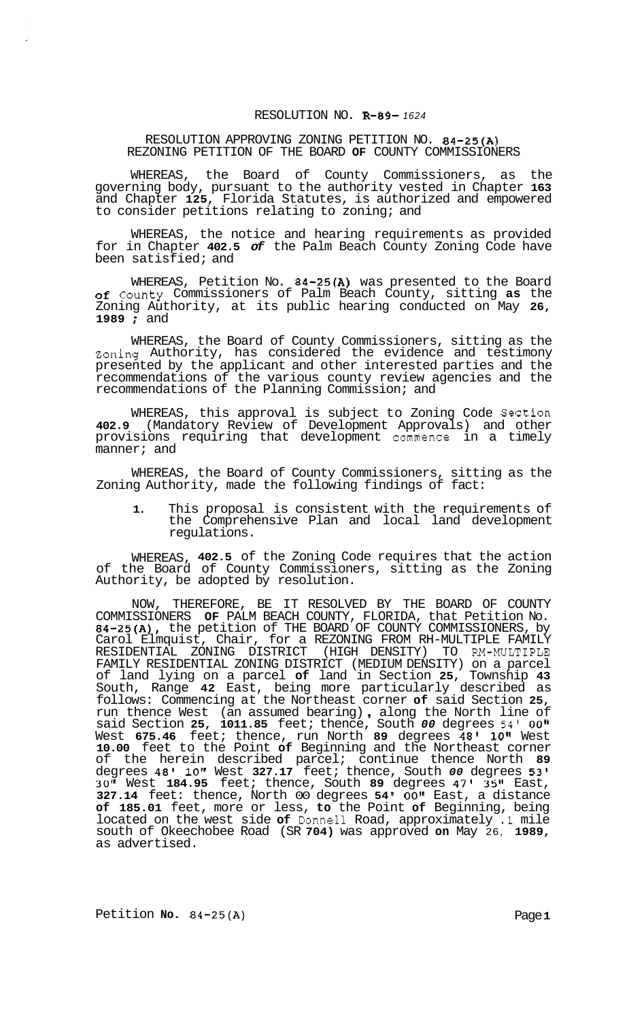## RESOLUTION NO. **R-89-** *<sup>1624</sup>*

## RESOLUTION APPROVING ZONING PETITION NO. **84-25(A)**  REZONING PETITION OF THE BOARD **OF** COUNTY COMMISSIONERS

WHEREAS, the Board of County Commissioners, as the governing body, pursuant to the authority vested in Chapter **163**  and Chapter **125,** Florida Statutes, is authorized and empowered to consider petitions relating to zoning; and

WHEREAS, the notice and hearing requirements as provided for in Chapter **402.5** *of* the Palm Beach County Zoning Code have been satisfied; and

WHEREAS, Petition No. **84-25(A)** was presented to the Board of County Commissioners of Palm Beach County, sitting **as** the Zoning Authority, at its public hearing conducted on May **26, <sup>1989</sup>**; and

WHEREAS, the Board of County Commissioners, sitting as the Zoning Authority, has considered the evidence and testimony presented by the applicant and other interested parties and the recommendations of the various county review agencies and the recommendations of the Planning Commission; and

WHEREAS, this approval is subject to Zoning Code Section **402.9** (Mandatory Review of Development Approvals) and other provisions requiring that development commence in a timely manner; and

WHEREAS, the Board of County Commissioners, sitting as the Zoning Authority, made the following findings of fact:

**1.** This proposal is consistent with the requirements of the Comprehensive Plan and local land development regulations.

WHEREAS, **402.5** of the Zoning Code requires that the action of the Board of County Commissioners, sitting as the Zoning Authority, be adopted by resolution.

NOW, THEREFORE, BE IT RESOLVED BY THE BOARD OF COUNTY COMMISSIONERS **OF** PALM BEACH COUNTY, FLORIDA, that Petition No. **84-25(A),** the petition of THE BOARD OF COUNTY COMMISSIONERS, by Carol Elmquist, Chair, for a REZONING FROM RH-MULTIPLE FAMILY FAMILY RESIDENTIAL ZONING DISTRICT (MEDIUM DENSITY) on a parcel of land lying on a parcel **of** land in Section **25,** Township **43**  South, Range **42** East, being more particularly described as follows: Commencing at the Northeast corner **of** said Section **25,**  follows: Commencing at the Northeast corner of said Section 25, run thence West (an assumed bearing), along the North line of said Section **25, 1011.85** feet; thence, South *00* degrees **54'** OOII West **675.46** feet; thence, run North **89** degrees **48' loll** West **10.00** feet to the Point **of** Beginning and the Northeast corner of the herein described parcel; continue thence North **89**  degrees **48' 10"** West **327.17** feet; thence, South *00* degrees **53' 30"** West **184.95** feet; thence, South **89** degrees **47' 35"** East, **327.14** feet: thence, North 00 degrees **54 OOtl** East, a distance **of 185.01** feet, more or less, **to** the Point **of** Beginning, being located on the west side **of** Donne11 Road, approximately **.1** mile south of Okeechobee Road (SR **704)** was approved **on** May 26, **1989,**  as advertised. RESIDENTIAL ZONING DISTRICT (HIGH DENSITY) TO RM-MULTIPLE

Petition **No.** 84-25(A) **Page 1**